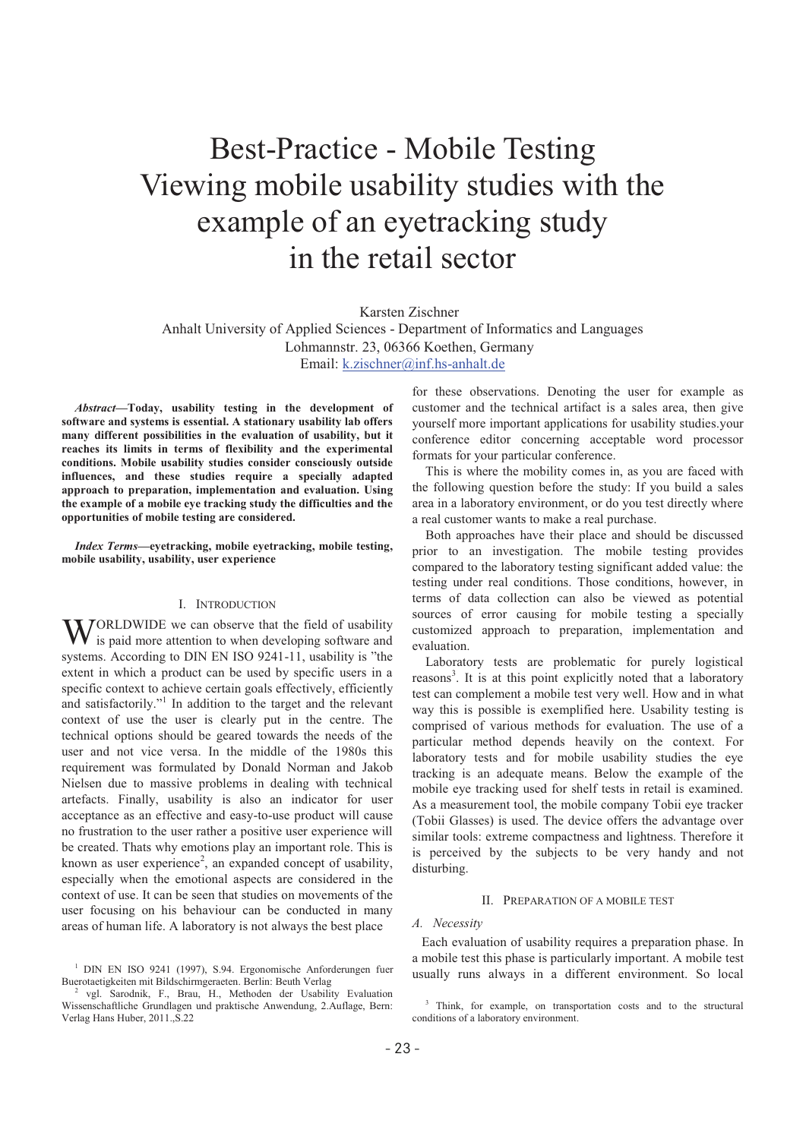# Best-Practice - Mobile Testing Viewing mobile usability studies with the example of an eyetracking study in the retail sector

Karsten Zischner

Anhalt University of Applied Sciences - Department of Informatics and Languages Lohmannstr. 23, 06366 Koethen, Germany Email: k.zischner@inf.hs-anhalt.de

*Abstract***-Today, usability testing in the development of software and systems is essential. A stationary usability lab offers many different possibilities in the evaluation of usability, but it reaches its limits in terms of flexibility and the experimental conditions. Mobile usability studies consider consciously outside influences, and these studies require a specially adapted approach to preparation, implementation and evaluation. Using the example of a mobile eye tracking study the difficulties and the opportunities of mobile testing are considered.** 

*Index Terms***-eyetracking, mobile eyetracking, mobile testing, mobile usability, usability, user experience** 

# I. INTRODUCTION

ORLDWIDE we can observe that the field of usability WORLDWIDE we can observe that the field of usability is paid more attention to when developing software and systems. According to DIN EN ISO 9241-11, usability is "the extent in which a product can be used by specific users in a specific context to achieve certain goals effectively, efficiently and satisfactorily."<sup>1</sup> In addition to the target and the relevant context of use the user is clearly put in the centre. The technical options should be geared towards the needs of the user and not vice versa. In the middle of the 1980s this requirement was formulated by Donald Norman and Jakob Nielsen due to massive problems in dealing with technical artefacts. Finally, usability is also an indicator for user acceptance as an effective and easy-to-use product will cause no frustration to the user rather a positive user experience will be created. Thats why emotions play an important role. This is known as user experience<sup>2</sup>, an expanded concept of usability, especially when the emotional aspects are considered in the context of use. It can be seen that studies on movements of the user focusing on his behaviour can be conducted in many areas of human life. A laboratory is not always the best place

for these observations. Denoting the user for example as customer and the technical artifact is a sales area, then give yourself more important applications for usability studies.your conference editor concerning acceptable word processor formats for your particular conference.

This is where the mobility comes in, as you are faced with the following question before the study: If you build a sales area in a laboratory environment, or do you test directly where a real customer wants to make a real purchase.

Both approaches have their place and should be discussed prior to an investigation. The mobile testing provides compared to the laboratory testing significant added value: the testing under real conditions. Those conditions, however, in terms of data collection can also be viewed as potential sources of error causing for mobile testing a specially customized approach to preparation, implementation and evaluation.

Laboratory tests are problematic for purely logistical reasons<sup>3</sup>. It is at this point explicitly noted that a laboratory test can complement a mobile test very well. How and in what way this is possible is exemplified here. Usability testing is comprised of various methods for evaluation. The use of a particular method depends heavily on the context. For laboratory tests and for mobile usability studies the eye tracking is an adequate means. Below the example of the mobile eye tracking used for shelf tests in retail is examined. As a measurement tool, the mobile company Tobii eye tracker (Tobii Glasses) is used. The device offers the advantage over similar tools: extreme compactness and lightness. Therefore it is perceived by the subjects to be very handy and not disturbing.

# II. PREPARATION OF A MOBILE TEST

# *A. Necessity*

Each evaluation of usability requires a preparation phase. In a mobile test this phase is particularly important. A mobile test usually runs always in a different environment. So local

<sup>1</sup> DIN EN ISO 9241 (1997), S.94. Ergonomische Anforderungen fuer Buerotaetigkeiten mit Bildschirmgeraeten. Berlin: Beuth Verlag 2

vgl. Sarodnik, F., Brau, H., Methoden der Usability Evaluation Wissenschaftliche Grundlagen und praktische Anwendung, 2.Auflage, Bern: Verlag Hans Huber, 2011.,S.22

<sup>&</sup>lt;sup>3</sup> Think, for example, on transportation costs and to the structural conditions of a laboratory environment.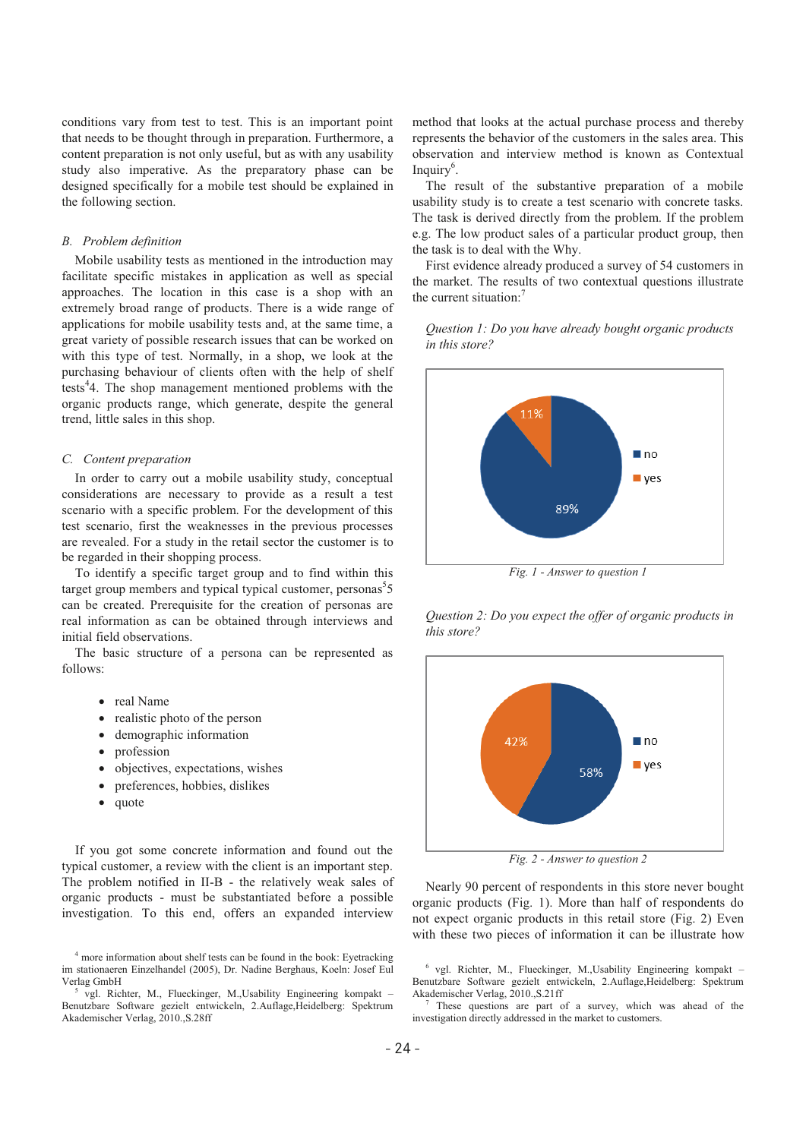conditions vary from test to test. This is an important point that needs to be thought through in preparation. Furthermore, a content preparation is not only useful, but as with any usability study also imperative. As the preparatory phase can be designed specifically for a mobile test should be explained in the following section.

#### *B. Problem definition*

Mobile usability tests as mentioned in the introduction may facilitate specific mistakes in application as well as special approaches. The location in this case is a shop with an extremely broad range of products. There is a wide range of applications for mobile usability tests and, at the same time, a great variety of possible research issues that can be worked on with this type of test. Normally, in a shop, we look at the purchasing behaviour of clients often with the help of shelf tests<sup>4</sup>4. The shop management mentioned problems with the organic products range, which generate, despite the general trend, little sales in this shop.

#### *C. Content preparation*

In order to carry out a mobile usability study, conceptual considerations are necessary to provide as a result a test scenario with a specific problem. For the development of this test scenario, first the weaknesses in the previous processes are revealed. For a study in the retail sector the customer is to be regarded in their shopping process.

To identify a specific target group and to find within this target group members and typical typical customer, personas<sup>5</sup>5 can be created. Prerequisite for the creation of personas are real information as can be obtained through interviews and initial field observations.

The basic structure of a persona can be represented as follows:

- real Name
- realistic photo of the person
- demographic information
- profession
- objectives, expectations, wishes
- preferences, hobbies, dislikes
- quote

If you got some concrete information and found out the typical customer, a review with the client is an important step. The problem notified in II-B - the relatively weak sales of organic products - must be substantiated before a possible investigation. To this end, offers an expanded interview

method that looks at the actual purchase process and thereby represents the behavior of the customers in the sales area. This observation and interview method is known as Contextual Inquiry<sup>6</sup>.

The result of the substantive preparation of a mobile usability study is to create a test scenario with concrete tasks. The task is derived directly from the problem. If the problem e.g. The low product sales of a particular product group, then the task is to deal with the Why.

First evidence already produced a survey of 54 customers in the market. The results of two contextual questions illustrate the current situation: $<sup>7</sup>$ </sup>

*Question 1: Do you have already bought organic products in this store?* 



*Fig. 1 - Answer to question 1* 

*Question 2: Do you expect the offer of organic products in this store?* 



*Fig. 2 - Answer to question 2* 

Nearly 90 percent of respondents in this store never bought organic products (Fig. 1). More than half of respondents do not expect organic products in this retail store (Fig. 2) Even with these two pieces of information it can be illustrate how

6 vgl. Richter, M., Flueckinger, M.,Usability Engineering kompakt – Benutzbare Software gezielt entwickeln, 2.Auflage,Heidelberg: Spektrum Akademischer Verlag, 2010.,S.21ff 7

 These questions are part of a survey, which was ahead of the investigation directly addressed in the market to customers.

<sup>&</sup>lt;sup>4</sup> more information about shelf tests can be found in the book: Eyetracking im stationaeren Einzelhandel (2005), Dr. Nadine Berghaus, Koeln: Josef Eul Verlag GmbH 5

vgl. Richter, M., Flueckinger, M.,Usability Engineering kompakt – Benutzbare Software gezielt entwickeln, 2.Auflage,Heidelberg: Spektrum Akademischer Verlag, 2010.,S.28ff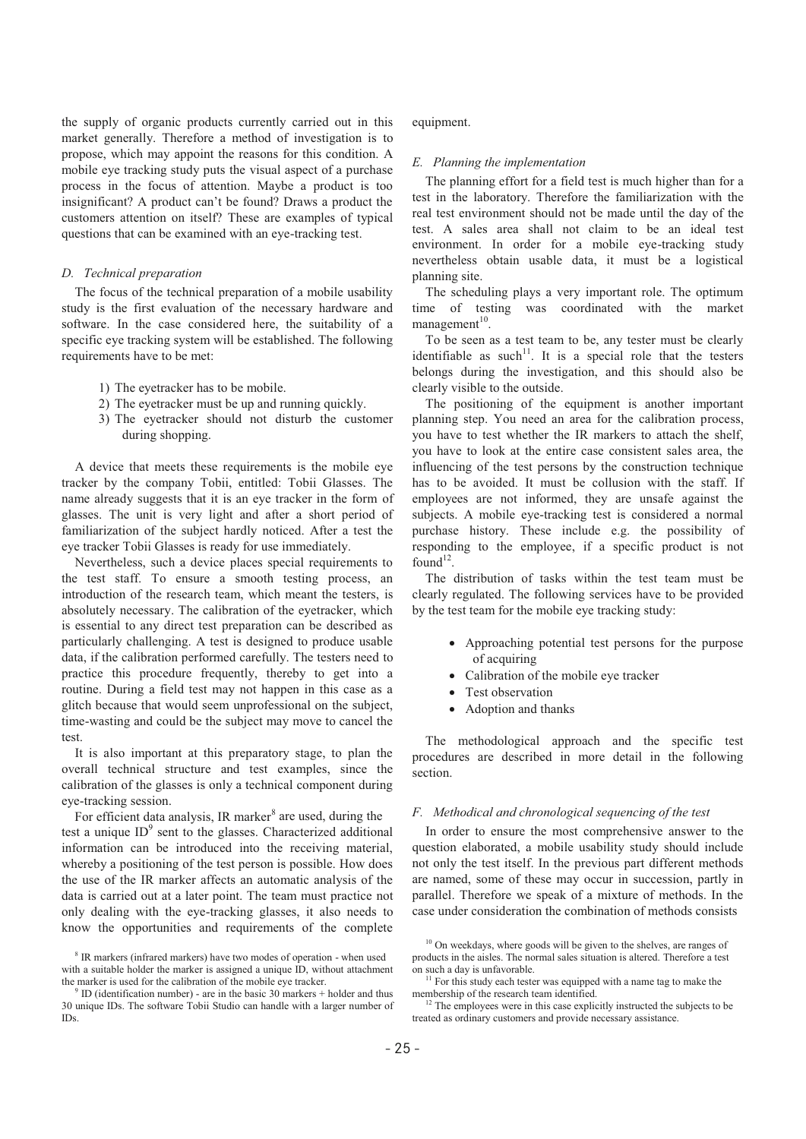the supply of organic products currently carried out in this market generally. Therefore a method of investigation is to propose, which may appoint the reasons for this condition. A mobile eye tracking study puts the visual aspect of a purchase process in the focus of attention. Maybe a product is too insignificant? A product can't be found? Draws a product the customers attention on itself? These are examples of typical questions that can be examined with an eye-tracking test.

# *D. Technical preparation*

The focus of the technical preparation of a mobile usability study is the first evaluation of the necessary hardware and software. In the case considered here, the suitability of a specific eye tracking system will be established. The following requirements have to be met:

- 1) The eyetracker has to be mobile.
- 2) The eyetracker must be up and running quickly.
- 3) The eyetracker should not disturb the customer during shopping.

A device that meets these requirements is the mobile eye tracker by the company Tobii, entitled: Tobii Glasses. The name already suggests that it is an eye tracker in the form of glasses. The unit is very light and after a short period of familiarization of the subject hardly noticed. After a test the eye tracker Tobii Glasses is ready for use immediately.

Nevertheless, such a device places special requirements to the test staff. To ensure a smooth testing process, an introduction of the research team, which meant the testers, is absolutely necessary. The calibration of the eyetracker, which is essential to any direct test preparation can be described as particularly challenging. A test is designed to produce usable data, if the calibration performed carefully. The testers need to practice this procedure frequently, thereby to get into a routine. During a field test may not happen in this case as a glitch because that would seem unprofessional on the subject, time-wasting and could be the subject may move to cancel the test.

It is also important at this preparatory stage, to plan the overall technical structure and test examples, since the calibration of the glasses is only a technical component during eye-tracking session.

For efficient data analysis, IR marker<sup>8</sup> are used, during the test a unique  $ID^9$  sent to the glasses. Characterized additional information can be introduced into the receiving material, whereby a positioning of the test person is possible. How does the use of the IR marker affects an automatic analysis of the data is carried out at a later point. The team must practice not only dealing with the eye-tracking glasses, it also needs to know the opportunities and requirements of the complete

equipment.

#### *E. Planning the implementation*

The planning effort for a field test is much higher than for a test in the laboratory. Therefore the familiarization with the real test environment should not be made until the day of the test. A sales area shall not claim to be an ideal test environment. In order for a mobile eye-tracking study nevertheless obtain usable data, it must be a logistical planning site.

The scheduling plays a very important role. The optimum time of testing was coordinated with the market management $10$ .

To be seen as a test team to be, any tester must be clearly identifiable as such<sup>11</sup>. It is a special role that the testers belongs during the investigation, and this should also be clearly visible to the outside.

The positioning of the equipment is another important planning step. You need an area for the calibration process, you have to test whether the IR markers to attach the shelf, you have to look at the entire case consistent sales area, the influencing of the test persons by the construction technique has to be avoided. It must be collusion with the staff. If employees are not informed, they are unsafe against the subjects. A mobile eye-tracking test is considered a normal purchase history. These include e.g. the possibility of responding to the employee, if a specific product is not  $found<sup>12</sup>$ .

The distribution of tasks within the test team must be clearly regulated. The following services have to be provided by the test team for the mobile eye tracking study:

- Approaching potential test persons for the purpose of acquiring
- Calibration of the mobile eye tracker
- Test observation
- Adoption and thanks

The methodological approach and the specific test procedures are described in more detail in the following section.

# *F. Methodical and chronological sequencing of the test*

In order to ensure the most comprehensive answer to the question elaborated, a mobile usability study should include not only the test itself. In the previous part different methods are named, some of these may occur in succession, partly in parallel. Therefore we speak of a mixture of methods. In the case under consideration the combination of methods consists

<sup>&</sup>lt;sup>8</sup> IR markers (infrared markers) have two modes of operation - when used with a suitable holder the marker is assigned a unique ID, without attachment the marker is used for the calibration of the mobile eye tracker.

ID (identification number) - are in the basic 30 markers + holder and thus 30 unique IDs. The software Tobii Studio can handle with a larger number of IDs.

 $10$  On weekdays, where goods will be given to the shelves, are ranges of products in the aisles. The normal sales situation is altered. Therefore a test

 $11$  For this study each tester was equipped with a name tag to make the membership of the research team identified.<br><sup>12</sup> The employees were in this case explicitly instructed the subjects to be

treated as ordinary customers and provide necessary assistance.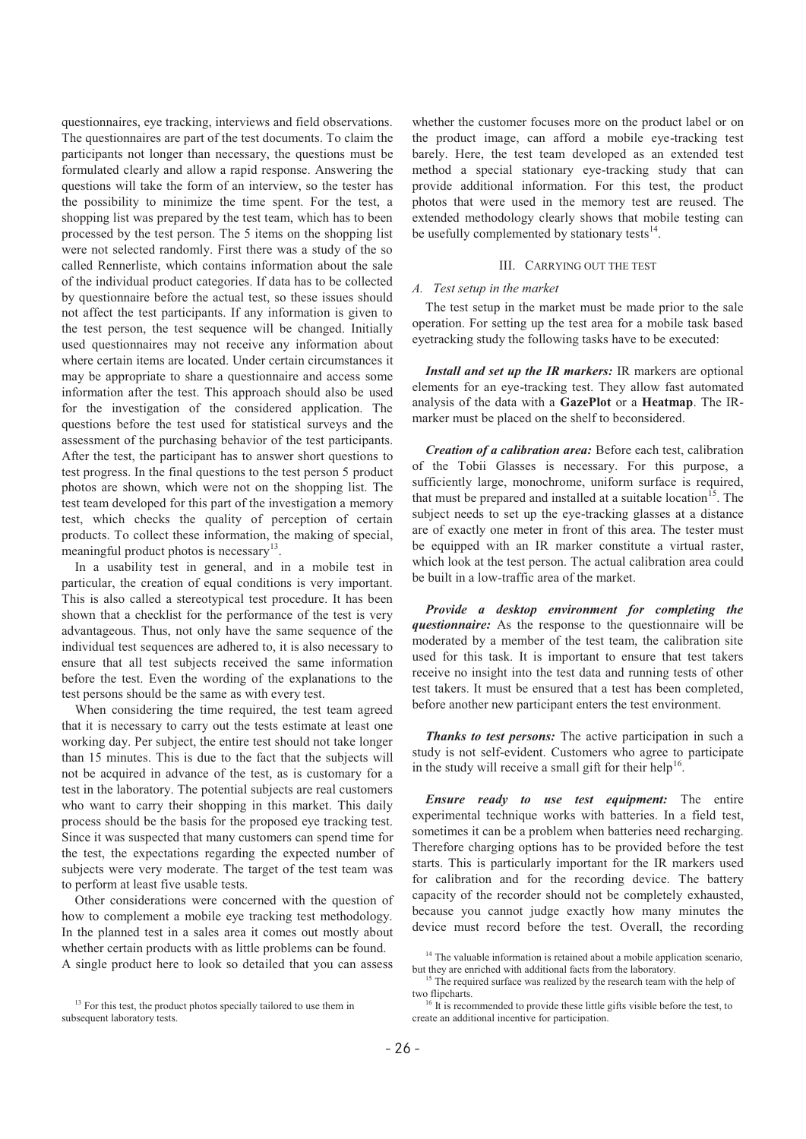questionnaires, eye tracking, interviews and field observations. The questionnaires are part of the test documents. To claim the participants not longer than necessary, the questions must be formulated clearly and allow a rapid response. Answering the questions will take the form of an interview, so the tester has the possibility to minimize the time spent. For the test, a shopping list was prepared by the test team, which has to been processed by the test person. The 5 items on the shopping list were not selected randomly. First there was a study of the so called Rennerliste, which contains information about the sale of the individual product categories. If data has to be collected by questionnaire before the actual test, so these issues should not affect the test participants. If any information is given to the test person, the test sequence will be changed. Initially used questionnaires may not receive any information about where certain items are located. Under certain circumstances it may be appropriate to share a questionnaire and access some information after the test. This approach should also be used for the investigation of the considered application. The questions before the test used for statistical surveys and the assessment of the purchasing behavior of the test participants. After the test, the participant has to answer short questions to test progress. In the final questions to the test person 5 product photos are shown, which were not on the shopping list. The test team developed for this part of the investigation a memory test, which checks the quality of perception of certain products. To collect these information, the making of special, meaningful product photos is necessary $13$ .

In a usability test in general, and in a mobile test in particular, the creation of equal conditions is very important. This is also called a stereotypical test procedure. It has been shown that a checklist for the performance of the test is very advantageous. Thus, not only have the same sequence of the individual test sequences are adhered to, it is also necessary to ensure that all test subjects received the same information before the test. Even the wording of the explanations to the test persons should be the same as with every test.

When considering the time required, the test team agreed that it is necessary to carry out the tests estimate at least one working day. Per subject, the entire test should not take longer than 15 minutes. This is due to the fact that the subjects will not be acquired in advance of the test, as is customary for a test in the laboratory. The potential subjects are real customers who want to carry their shopping in this market. This daily process should be the basis for the proposed eye tracking test. Since it was suspected that many customers can spend time for the test, the expectations regarding the expected number of subjects were very moderate. The target of the test team was to perform at least five usable tests.

Other considerations were concerned with the question of how to complement a mobile eye tracking test methodology. In the planned test in a sales area it comes out mostly about whether certain products with as little problems can be found. A single product here to look so detailed that you can assess whether the customer focuses more on the product label or on the product image, can afford a mobile eye-tracking test barely. Here, the test team developed as an extended test method a special stationary eye-tracking study that can provide additional information. For this test, the product photos that were used in the memory test are reused. The extended methodology clearly shows that mobile testing can be usefully complemented by stationary tests $^{14}$ .

# III. CARRYING OUT THE TEST

# *A. Test setup in the market*

The test setup in the market must be made prior to the sale operation. For setting up the test area for a mobile task based eyetracking study the following tasks have to be executed:

*Install and set up the IR markers:* IR markers are optional elements for an eye-tracking test. They allow fast automated analysis of the data with a **GazePlot** or a **Heatmap**. The IRmarker must be placed on the shelf to beconsidered.

*Creation of a calibration area:* Before each test, calibration of the Tobii Glasses is necessary. For this purpose, a sufficiently large, monochrome, uniform surface is required, that must be prepared and installed at a suitable location<sup>15</sup>. The subject needs to set up the eye-tracking glasses at a distance are of exactly one meter in front of this area. The tester must be equipped with an IR marker constitute a virtual raster, which look at the test person. The actual calibration area could be built in a low-traffic area of the market.

*Provide a desktop environment for completing the questionnaire:* As the response to the questionnaire will be moderated by a member of the test team, the calibration site used for this task. It is important to ensure that test takers receive no insight into the test data and running tests of other test takers. It must be ensured that a test has been completed, before another new participant enters the test environment.

*Thanks to test persons:* The active participation in such a study is not self-evident. Customers who agree to participate in the study will receive a small gift for their help<sup>16</sup>.

*Ensure ready to use test equipment:* The entire experimental technique works with batteries. In a field test, sometimes it can be a problem when batteries need recharging. Therefore charging options has to be provided before the test starts. This is particularly important for the IR markers used for calibration and for the recording device. The battery capacity of the recorder should not be completely exhausted, because you cannot judge exactly how many minutes the device must record before the test. Overall, the recording

<sup>&</sup>lt;sup>13</sup> For this test, the product photos specially tailored to use them in subsequent laboratory tests.

 $14$  The valuable information is retained about a mobile application scenario, but they are enriched with additional facts from the laboratory.

 $15$  The required surface was realized by the research team with the help of two flipcharts. 16 It is recommended to provide these little gifts visible before the test, to

create an additional incentive for participation.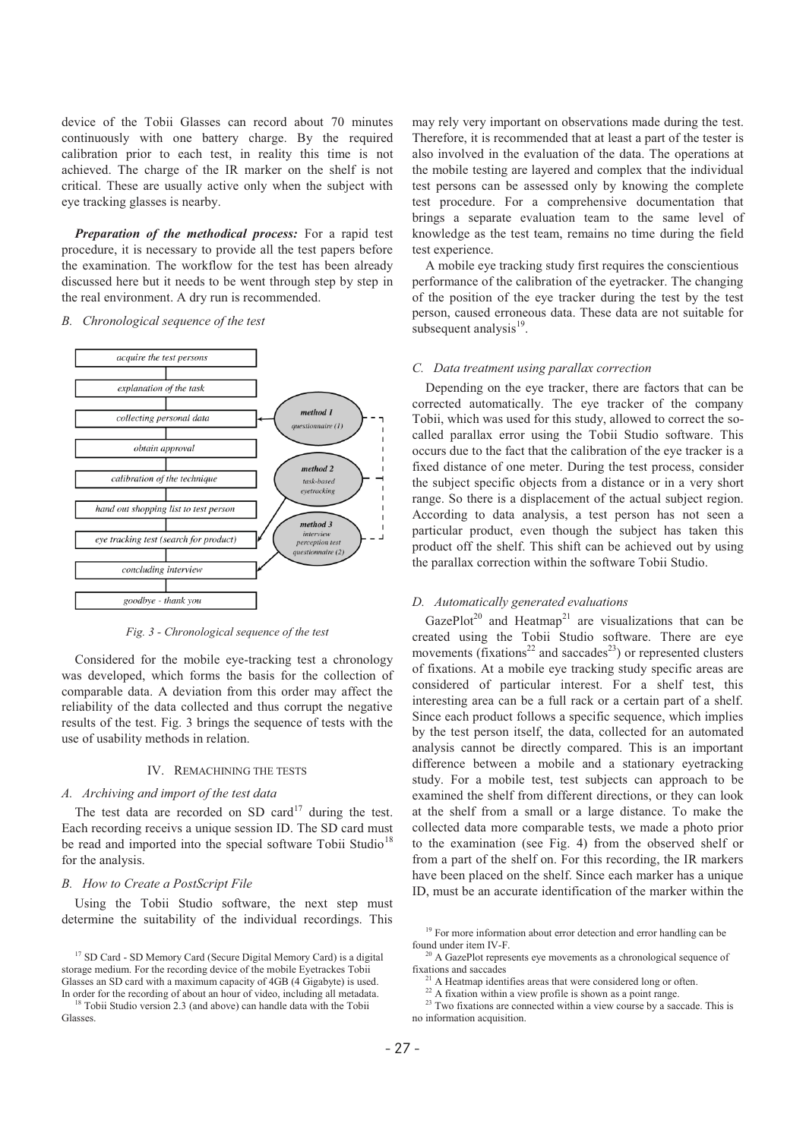device of the Tobii Glasses can record about 70 minutes continuously with one battery charge. By the required calibration prior to each test, in reality this time is not achieved. The charge of the IR marker on the shelf is not critical. These are usually active only when the subject with eye tracking glasses is nearby.

*Preparation of the methodical process:* For a rapid test procedure, it is necessary to provide all the test papers before the examination. The workflow for the test has been already discussed here but it needs to be went through step by step in the real environment. A dry run is recommended.

## *B. Chronological sequence of the test*



*Fig. 3 - Chronological sequence of the test* 

Considered for the mobile eye-tracking test a chronology was developed, which forms the basis for the collection of comparable data. A deviation from this order may affect the reliability of the data collected and thus corrupt the negative results of the test. Fig. 3 brings the sequence of tests with the use of usability methods in relation.

#### IV. REMACHINING THE TESTS

# *A. Archiving and import of the test data*

The test data are recorded on SD card<sup>17</sup> during the test. Each recording receivs a unique session ID. The SD card must be read and imported into the special software Tobii Studio<sup>18</sup> for the analysis.

## *B. How to Create a PostScript File*

Using the Tobii Studio software, the next step must determine the suitability of the individual recordings. This may rely very important on observations made during the test. Therefore, it is recommended that at least a part of the tester is also involved in the evaluation of the data. The operations at the mobile testing are layered and complex that the individual test persons can be assessed only by knowing the complete test procedure. For a comprehensive documentation that brings a separate evaluation team to the same level of knowledge as the test team, remains no time during the field test experience.

A mobile eye tracking study first requires the conscientious performance of the calibration of the eyetracker. The changing of the position of the eye tracker during the test by the test person, caused erroneous data. These data are not suitable for subsequent analysis $19$ .

#### *C. Data treatment using parallax correction*

Depending on the eye tracker, there are factors that can be corrected automatically. The eye tracker of the company Tobii, which was used for this study, allowed to correct the socalled parallax error using the Tobii Studio software. This occurs due to the fact that the calibration of the eye tracker is a fixed distance of one meter. During the test process, consider the subject specific objects from a distance or in a very short range. So there is a displacement of the actual subject region. According to data analysis, a test person has not seen a particular product, even though the subject has taken this product off the shelf. This shift can be achieved out by using the parallax correction within the software Tobii Studio.

## *D. Automatically generated evaluations*

GazePlot<sup>20</sup> and Heatmap<sup>21</sup> are visualizations that can be created using the Tobii Studio software. There are eye movements (fixations<sup>22</sup> and saccades<sup>23</sup>) or represented clusters of fixations. At a mobile eye tracking study specific areas are considered of particular interest. For a shelf test, this interesting area can be a full rack or a certain part of a shelf. Since each product follows a specific sequence, which implies by the test person itself, the data, collected for an automated analysis cannot be directly compared. This is an important difference between a mobile and a stationary eyetracking study. For a mobile test, test subjects can approach to be examined the shelf from different directions, or they can look at the shelf from a small or a large distance. To make the collected data more comparable tests, we made a photo prior to the examination (see Fig. 4) from the observed shelf or from a part of the shelf on. For this recording, the IR markers have been placed on the shelf. Since each marker has a unique ID, must be an accurate identification of the marker within the

 $\alpha$ <sup>1</sup> A Heatmap identifies areas that were considered long or often.

<sup>&</sup>lt;sup>17</sup> SD Card - SD Memory Card (Secure Digital Memory Card) is a digital storage medium. For the recording device of the mobile Eyetrackes Tobii Glasses an SD card with a maximum capacity of 4GB (4 Gigabyte) is used.

In order for the recording of about an hour of video, including all metadata. 18 Tobii Studio version 2.3 (and above) can handle data with the Tobii Glasses.

<sup>&</sup>lt;sup>19</sup> For more information about error detection and error handling can be found under item IV-F

 $\frac{20 \text{ A GasPlot represents eye movements as a chronological sequence of fractions and seconds.}$ 

 $22$  A fixation within a view profile is shown as a point range.

<sup>&</sup>lt;sup>23</sup> Two fixations are connected within a view course by a saccade. This is no information acquisition.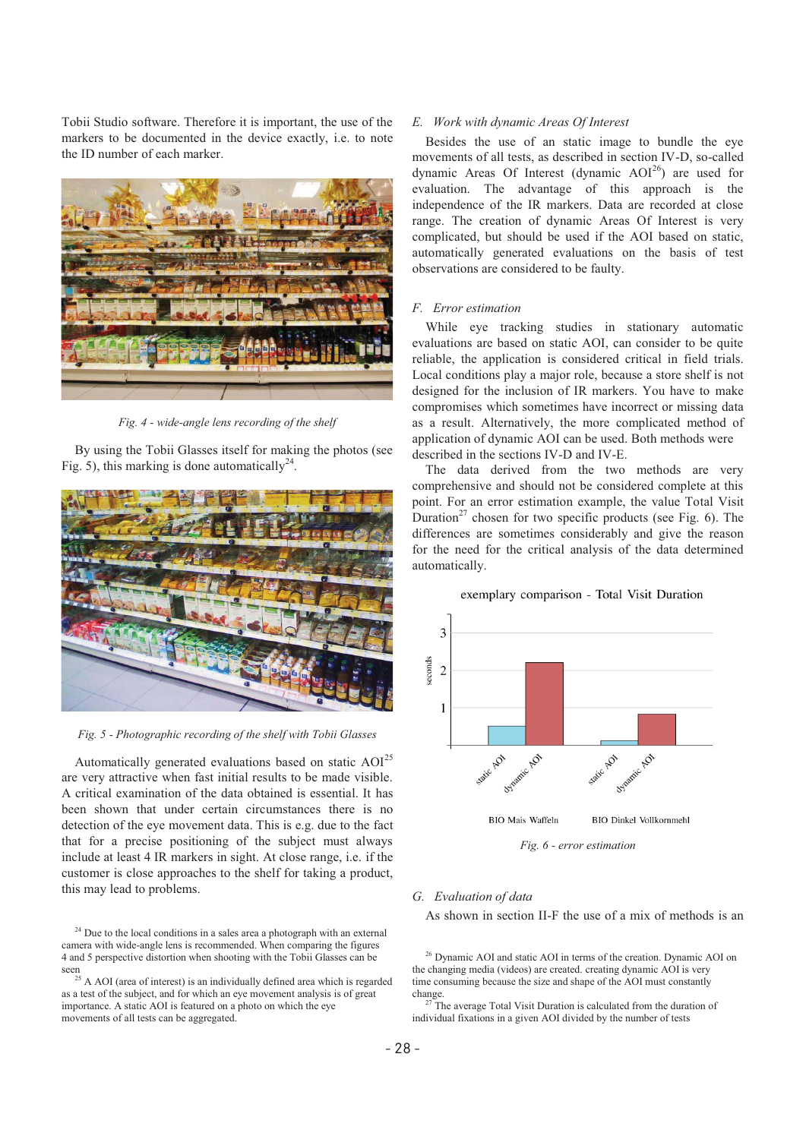Tobii Studio software. Therefore it is important, the use of the markers to be documented in the device exactly, i.e. to note the ID number of each marker.



*Fig. 4 - wide-angle lens recording of the shelf* 

By using the Tobii Glasses itself for making the photos (see Fig. 5), this marking is done automatically<sup>24</sup>.



*Fig. 5 - Photographic recording of the shelf with Tobii Glasses* 

Automatically generated evaluations based on static AOI<sup>25</sup> are very attractive when fast initial results to be made visible. A critical examination of the data obtained is essential. It has been shown that under certain circumstances there is no detection of the eye movement data. This is e.g. due to the fact that for a precise positioning of the subject must always include at least 4 IR markers in sight. At close range, i.e. if the customer is close approaches to the shelf for taking a product, this may lead to problems.

# *E. Work with dynamic Areas Of Interest*

Besides the use of an static image to bundle the eye movements of all tests, as described in section IV-D, so-called dynamic Areas Of Interest (dynamic  $AOI^{26}$ ) are used for evaluation. The advantage of this approach is the independence of the IR markers. Data are recorded at close range. The creation of dynamic Areas Of Interest is very complicated, but should be used if the AOI based on static, automatically generated evaluations on the basis of test observations are considered to be faulty.

# *F. Error estimation*

While eye tracking studies in stationary automatic evaluations are based on static AOI, can consider to be quite reliable, the application is considered critical in field trials. Local conditions play a major role, because a store shelf is not designed for the inclusion of IR markers. You have to make compromises which sometimes have incorrect or missing data as a result. Alternatively, the more complicated method of application of dynamic AOI can be used. Both methods were described in the sections IV-D and IV-E.

The data derived from the two methods are very comprehensive and should not be considered complete at this point. For an error estimation example, the value Total Visit Duration<sup>27</sup> chosen for two specific products (see Fig. 6). The differences are sometimes considerably and give the reason for the need for the critical analysis of the data determined automatically.

## exemplary comparison - Total Visit Duration



*Fig. 6 - error estimation* 

# *G. Evaluation of data*

As shown in section II-F the use of a mix of methods is an

<sup>26</sup> Dynamic AOI and static AOI in terms of the creation. Dynamic AOI on the changing media (videos) are created. creating dynamic AOI is very time consuming because the size and shape of the AOI must constantly

 $24$  Due to the local conditions in a sales area a photograph with an external camera with wide-angle lens is recommended. When comparing the figures 4 and 5 perspective distortion when shooting with the Tobii Glasses can be seen<br><sup>25</sup> A AOI (area of interest) is an individually defined area which is regarded

as a test of the subject, and for which an eye movement analysis is of great importance. A static AOI is featured on a photo on which the eye movements of all tests can be aggregated.

change. 27 The average Total Visit Duration is calculated from the duration of individual fixations in a given AOI divided by the number of tests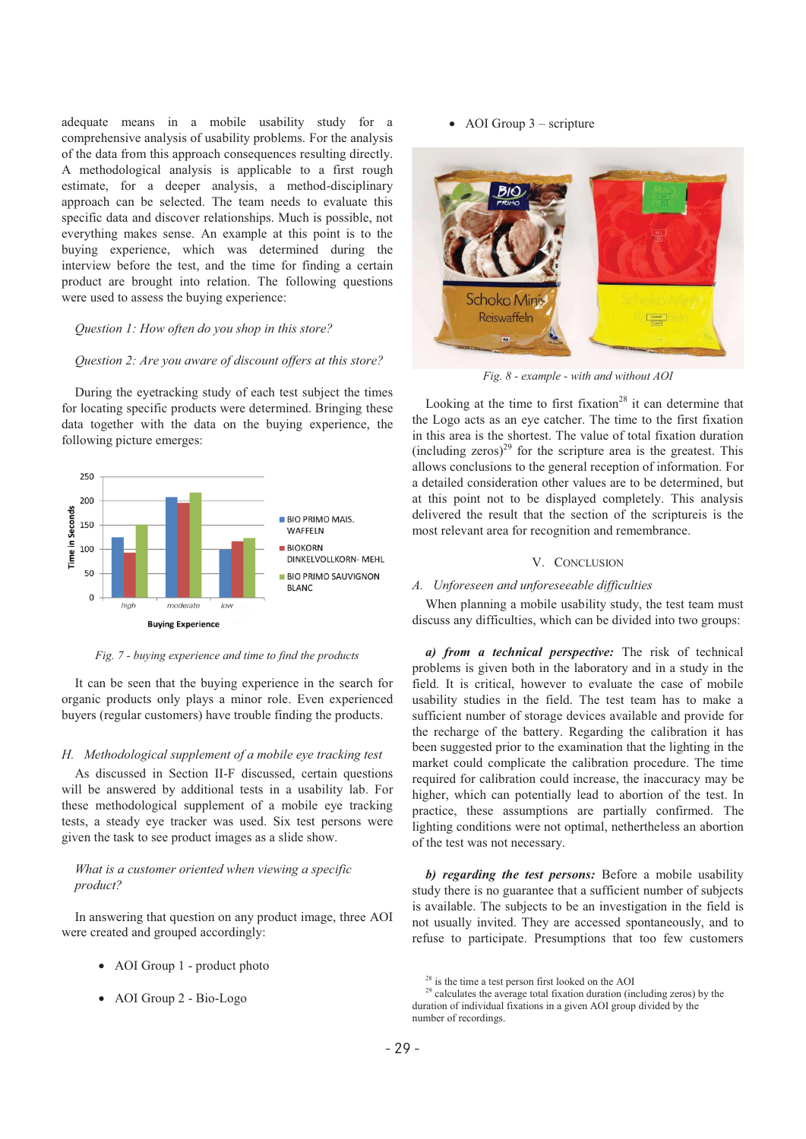adequate means in a mobile usability study for a comprehensive analysis of usability problems. For the analysis of the data from this approach consequences resulting directly. A methodological analysis is applicable to a first rough estimate, for a deeper analysis, a method-disciplinary approach can be selected. The team needs to evaluate this specific data and discover relationships. Much is possible, not everything makes sense. An example at this point is to the buying experience, which was determined during the interview before the test, and the time for finding a certain product are brought into relation. The following questions were used to assess the buying experience:

## *Question 1: How often do you shop in this store?*

## *Question 2: Are you aware of discount offers at this store?*

During the eyetracking study of each test subject the times for locating specific products were determined. Bringing these data together with the data on the buying experience, the following picture emerges:



*Fig. 7 - buying experience and time to find the products* 

It can be seen that the buying experience in the search for organic products only plays a minor role. Even experienced buyers (regular customers) have trouble finding the products.

## *H. Methodological supplement of a mobile eye tracking test*

As discussed in Section II-F discussed, certain questions will be answered by additional tests in a usability lab. For these methodological supplement of a mobile eye tracking tests, a steady eye tracker was used. Six test persons were given the task to see product images as a slide show.

# *What is a customer oriented when viewing a specific product?*

In answering that question on any product image, three AOI were created and grouped accordingly:

- AOI Group 1 product photo
- AOI Group 2 Bio-Logo

AOI Group 3 – scripture



*Fig. 8 - example - with and without AOI* 

Looking at the time to first fixation<sup>28</sup> it can determine that the Logo acts as an eye catcher. The time to the first fixation in this area is the shortest. The value of total fixation duration (including zeros)<sup>29</sup> for the scripture area is the greatest. This allows conclusions to the general reception of information. For a detailed consideration other values are to be determined, but at this point not to be displayed completely. This analysis delivered the result that the section of the scriptureis is the most relevant area for recognition and remembrance.

## V. CONCLUSION

# *A. Unforeseen and unforeseeable difficulties*

When planning a mobile usability study, the test team must discuss any difficulties, which can be divided into two groups:

*a) from a technical perspective:* The risk of technical problems is given both in the laboratory and in a study in the field. It is critical, however to evaluate the case of mobile usability studies in the field. The test team has to make a sufficient number of storage devices available and provide for the recharge of the battery. Regarding the calibration it has been suggested prior to the examination that the lighting in the market could complicate the calibration procedure. The time required for calibration could increase, the inaccuracy may be higher, which can potentially lead to abortion of the test. In practice, these assumptions are partially confirmed. The lighting conditions were not optimal, nethertheless an abortion of the test was not necessary.

*b) regarding the test persons:* Before a mobile usability study there is no guarantee that a sufficient number of subjects is available. The subjects to be an investigation in the field is not usually invited. They are accessed spontaneously, and to refuse to participate. Presumptions that too few customers

<sup>28</sup> is the time a test person first looked on the AOI

 $29$  calculates the average total fixation duration (including zeros) by the duration of individual fixations in a given AOI group divided by the number of recordings.